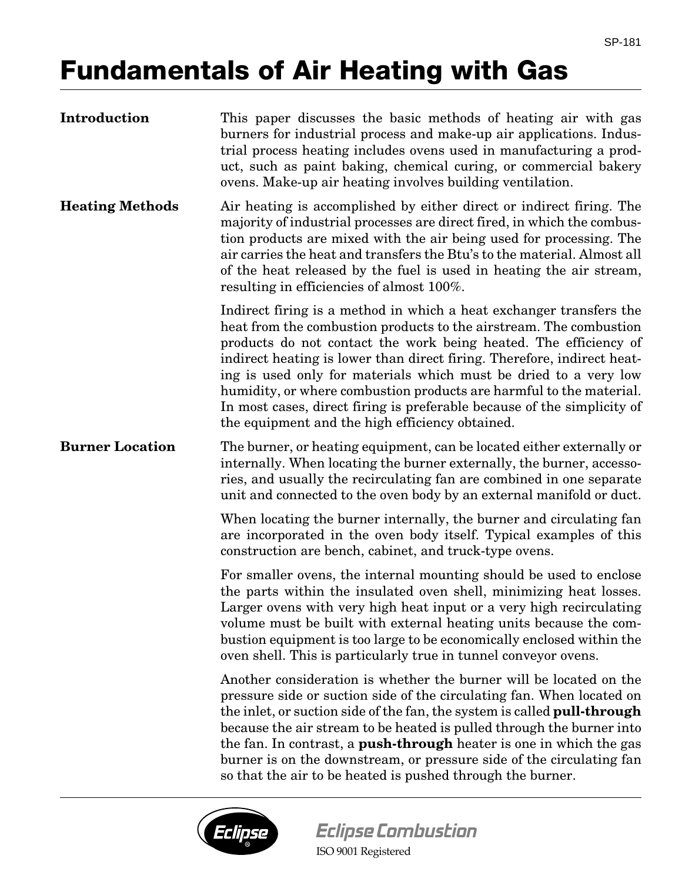## **Fundamentals of Air Heating with Gas**

| Introduction           | This paper discusses the basic methods of heating air with gas<br>burners for industrial process and make-up air applications. Indus-<br>trial process heating includes ovens used in manufacturing a prod-<br>uct, such as paint baking, chemical curing, or commercial bakery<br>ovens. Make-up air heating involves building ventilation.                                                                                                                                                                                                                      |
|------------------------|-------------------------------------------------------------------------------------------------------------------------------------------------------------------------------------------------------------------------------------------------------------------------------------------------------------------------------------------------------------------------------------------------------------------------------------------------------------------------------------------------------------------------------------------------------------------|
| <b>Heating Methods</b> | Air heating is accomplished by either direct or indirect firing. The<br>majority of industrial processes are direct fired, in which the combus-<br>tion products are mixed with the air being used for processing. The<br>air carries the heat and transfers the Btu's to the material. Almost all<br>of the heat released by the fuel is used in heating the air stream,<br>resulting in efficiencies of almost 100%.                                                                                                                                            |
|                        | Indirect firing is a method in which a heat exchanger transfers the<br>heat from the combustion products to the airstream. The combustion<br>products do not contact the work being heated. The efficiency of<br>indirect heating is lower than direct firing. Therefore, indirect heat-<br>ing is used only for materials which must be dried to a very low<br>humidity, or where combustion products are harmful to the material.<br>In most cases, direct firing is preferable because of the simplicity of<br>the equipment and the high efficiency obtained. |
| <b>Burner Location</b> | The burner, or heating equipment, can be located either externally or<br>internally. When locating the burner externally, the burner, accesso-<br>ries, and usually the recirculating fan are combined in one separate<br>unit and connected to the oven body by an external manifold or duct.                                                                                                                                                                                                                                                                    |
|                        | When locating the burner internally, the burner and circulating fan<br>are incorporated in the oven body itself. Typical examples of this<br>construction are bench, cabinet, and truck-type ovens.                                                                                                                                                                                                                                                                                                                                                               |
|                        | For smaller ovens, the internal mounting should be used to enclose<br>the parts within the insulated oven shell, minimizing heat losses.<br>Larger ovens with very high heat input or a very high recirculating<br>volume must be built with external heating units because the com-<br>bustion equipment is too large to be economically enclosed within the<br>oven shell. This is particularly true in tunnel conveyor ovens.                                                                                                                                  |
|                        | Another consideration is whether the burner will be located on the<br>pressure side or suction side of the circulating fan. When located on<br>the inlet, or suction side of the fan, the system is called pull-through<br>because the air stream to be heated is pulled through the burner into<br>the fan. In contrast, a <b>push-through</b> heater is one in which the gas<br>burner is on the downstream, or pressure side of the circulating fan<br>so that the air to be heated is pushed through the burner.                                              |



ISO 9001 Registered **Eclipse Combustion**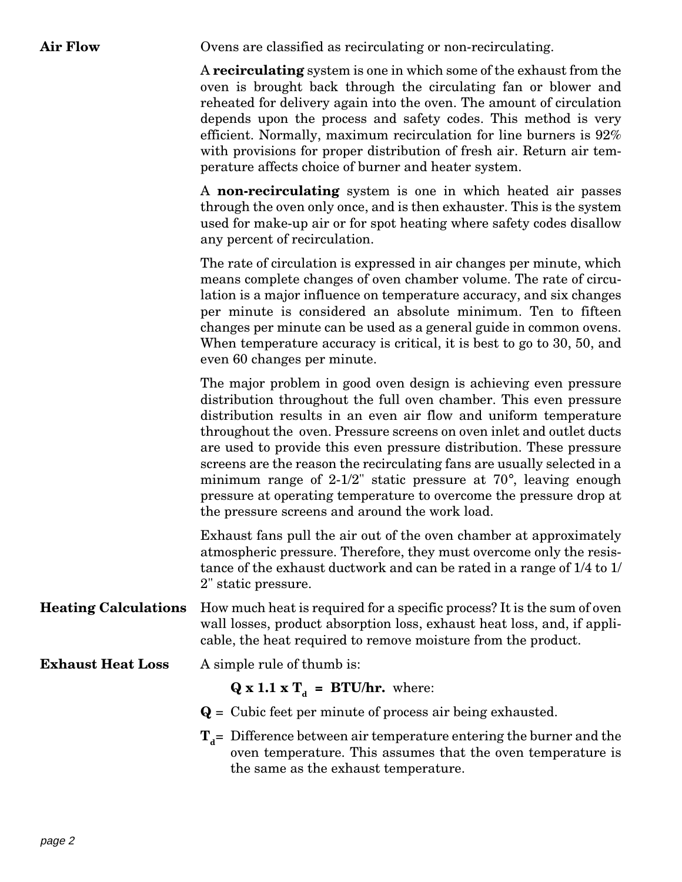Air Flow Ovens are classified as recirculating or non-recirculating.

A **recirculating** system is one in which some of the exhaust from the oven is brought back through the circulating fan or blower and reheated for delivery again into the oven. The amount of circulation depends upon the process and safety codes. This method is very efficient. Normally, maximum recirculation for line burners is 92% with provisions for proper distribution of fresh air. Return air temperature affects choice of burner and heater system.

A **non-recirculating** system is one in which heated air passes through the oven only once, and is then exhauster. This is the system used for make-up air or for spot heating where safety codes disallow any percent of recirculation.

The rate of circulation is expressed in air changes per minute, which means complete changes of oven chamber volume. The rate of circulation is a major influence on temperature accuracy, and six changes per minute is considered an absolute minimum. Ten to fifteen changes per minute can be used as a general guide in common ovens. When temperature accuracy is critical, it is best to go to 30, 50, and even 60 changes per minute.

The major problem in good oven design is achieving even pressure distribution throughout the full oven chamber. This even pressure distribution results in an even air flow and uniform temperature throughout the oven. Pressure screens on oven inlet and outlet ducts are used to provide this even pressure distribution. These pressure screens are the reason the recirculating fans are usually selected in a minimum range of 2-1/2" static pressure at 70°, leaving enough pressure at operating temperature to overcome the pressure drop at the pressure screens and around the work load.

Exhaust fans pull the air out of the oven chamber at approximately atmospheric pressure. Therefore, they must overcome only the resistance of the exhaust ductwork and can be rated in a range of 1/4 to 1/ 2" static pressure.

**Heating Calculations** How much heat is required for a specific process? It is the sum of oven wall losses, product absorption loss, exhaust heat loss, and, if applicable, the heat required to remove moisture from the product.

**Exhaust Heat Loss** A simple rule of thumb is:

 $\mathbf{Q} \times 1.1 \times \mathbf{T}_d = \mathbf{BTU}/\mathbf{hr}$ . where:

- **Q** = Cubic feet per minute of process air being exhausted.
- $T_d$ = Difference between air temperature entering the burner and the oven temperature. This assumes that the oven temperature is the same as the exhaust temperature.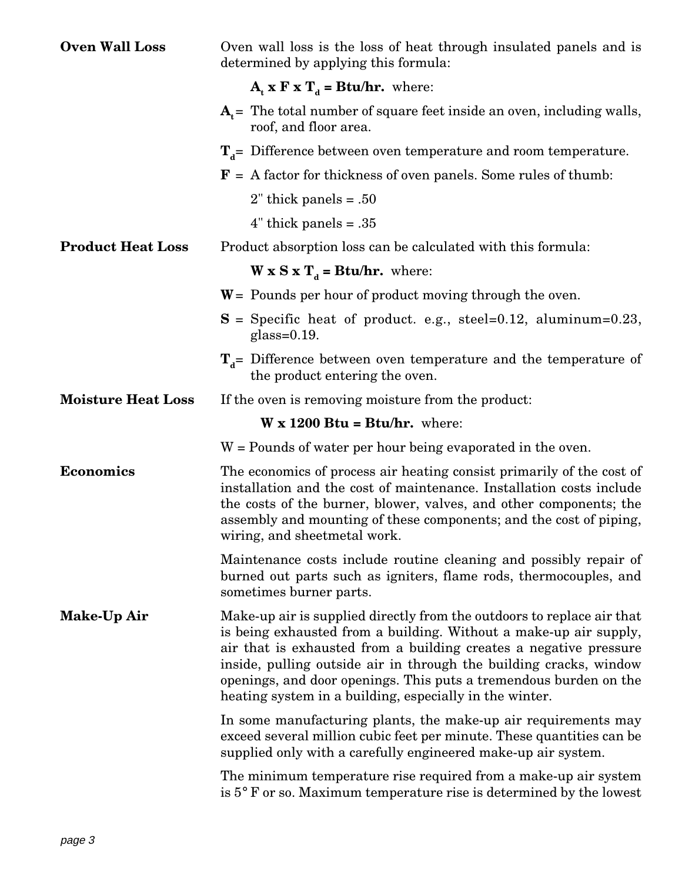| <b>Oven Wall Loss</b>     | Oven wall loss is the loss of heat through insulated panels and is<br>determined by applying this formula:                                                                                                                                                                                                                                                                                                             |
|---------------------------|------------------------------------------------------------------------------------------------------------------------------------------------------------------------------------------------------------------------------------------------------------------------------------------------------------------------------------------------------------------------------------------------------------------------|
|                           | $A_t$ x F x T <sub>d</sub> = Btu/hr. where:                                                                                                                                                                                                                                                                                                                                                                            |
|                           | $A_t$ = The total number of square feet inside an oven, including walls,<br>roof, and floor area.                                                                                                                                                                                                                                                                                                                      |
|                           | $T_d$ Difference between oven temperature and room temperature.                                                                                                                                                                                                                                                                                                                                                        |
|                           | $F$ = A factor for thickness of oven panels. Some rules of thumb:                                                                                                                                                                                                                                                                                                                                                      |
|                           | $2$ " thick panels = .50                                                                                                                                                                                                                                                                                                                                                                                               |
|                           | $4$ " thick panels = .35                                                                                                                                                                                                                                                                                                                                                                                               |
| <b>Product Heat Loss</b>  | Product absorption loss can be calculated with this formula:                                                                                                                                                                                                                                                                                                                                                           |
|                           | $W \times S \times T_d = Btu/hr$ . where:                                                                                                                                                                                                                                                                                                                                                                              |
|                           | $W =$ Pounds per hour of product moving through the oven.                                                                                                                                                                                                                                                                                                                                                              |
|                           | $S =$ Specific heat of product. e.g., steel=0.12, aluminum=0.23,<br>glass= $0.19$ .                                                                                                                                                                                                                                                                                                                                    |
|                           | $T_d$ = Difference between oven temperature and the temperature of<br>the product entering the oven.                                                                                                                                                                                                                                                                                                                   |
| <b>Moisture Heat Loss</b> | If the oven is removing moisture from the product:                                                                                                                                                                                                                                                                                                                                                                     |
|                           | $W \times 1200$ Btu = Btu/hr. where:                                                                                                                                                                                                                                                                                                                                                                                   |
|                           | W = Pounds of water per hour being evaporated in the oven.                                                                                                                                                                                                                                                                                                                                                             |
| <b>Economics</b>          | The economics of process air heating consist primarily of the cost of<br>installation and the cost of maintenance. Installation costs include<br>the costs of the burner, blower, valves, and other components; the<br>assembly and mounting of these components; and the cost of piping,<br>wiring, and sheetmetal work.                                                                                              |
|                           | Maintenance costs include routine cleaning and possibly repair of<br>burned out parts such as igniters, flame rods, thermocouples, and<br>sometimes burner parts.                                                                                                                                                                                                                                                      |
| Make-Up Air               | Make-up air is supplied directly from the outdoors to replace air that<br>is being exhausted from a building. Without a make-up air supply,<br>air that is exhausted from a building creates a negative pressure<br>inside, pulling outside air in through the building cracks, window<br>openings, and door openings. This puts a tremendous burden on the<br>heating system in a building, especially in the winter. |
|                           | In some manufacturing plants, the make-up air requirements may<br>exceed several million cubic feet per minute. These quantities can be<br>supplied only with a carefully engineered make-up air system.                                                                                                                                                                                                               |
|                           | The minimum temperature rise required from a make-up air system<br>is $5^{\circ}$ F or so. Maximum temperature rise is determined by the lowest                                                                                                                                                                                                                                                                        |